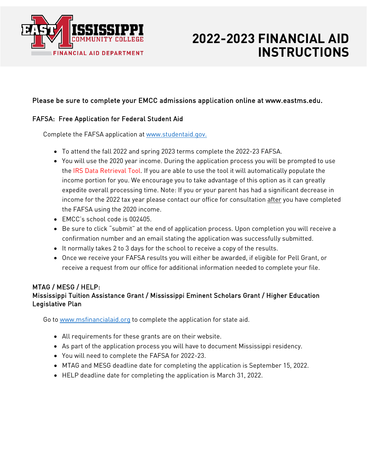

# **2022-2023 FINANCIAL AID INSTRUCTIONS**

# Please be sure to complete your EMCC admissions application online at www.eastms.edu.

## FAFSA: Free Application for Federal Student Aid

Complete the FAFSA application at www.studentaid.gov.

- To attend the fall 2022 and spring 2023 terms complete the 2022-23 FAFSA.
- You will use the 2020 year income. During the application process you will be prompted to use the IRS Data Retrieval Tool. If you are able to use the tool it will automatically populate the income portion for you. We encourage you to take advantage of this option as it can greatly expedite overall processing time. Note: If you or your parent has had a significant decrease in income for the 2022 tax year please contact our office for consultation after you have completed the FAFSA using the 2020 income.
- EMCC's school code is 002405.
- Be sure to click "submit" at the end of application process. Upon completion you will receive a confirmation number and an email stating the application was successfully submitted.
- It normally takes 2 to 3 days for the school to receive a copy of the results.
- Once we receive your FAFSA results you will either be awarded, if eligible for Pell Grant, or receive a request from our office for additional information needed to complete your file.

#### MTAG / MESG / HELP: Mississippi Tuition Assistance Grant / Mississippi Eminent Scholars Grant / Higher Education Legislative Plan

Go to [www.msfinanciala](http://www.msfinancial/)id.org to complete the application for state aid.

- All requirements for these grants are on their website.
- As part of the application process you will have to document Mississippi residency.
- You will need to complete the FAFSA for 2022-23.
- MTAG and MESG deadline date for completing the application is September 15, 2022.
- HELP deadline date for completing the application is March 31, 2022.